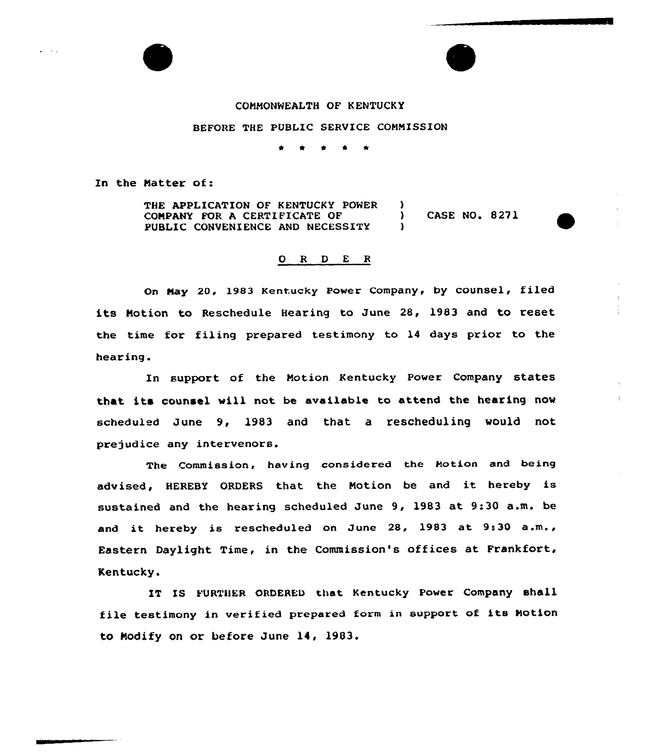

## COMMONWEALTH OF KENTUCKY

## BEFORE THE PUBLIC SERVICE COMMISSION

\* \*

In the Matter of:

THE APPLICATION OF KENTUCKY POWER )<br>
COMPANY FOR A CERTIFICATE OF ( COMPANY FOR A CERTIFICATE OF (300) CASE NO. 8271 PUBLIC CONVENIENCE AND NECESSITY

## 0 R <sup>D</sup> E <sup>R</sup>

on Nay 20, 1983 Kentucky power company, by counsel, filed its Motion to Reschedule Hearing to June 28, 1983 and to reset the time for filing prepared testimony to 14 days prior to the hearing.

In support of the Motion Kentucky Power Company states that its counsel vill not be available to attend the hearing now scheduled June 9, 1983 and that a rescheduling would not prejudice any intervenors.

The Commission, having considered the Motion and being advised, HEREBY ORDERS that the Motion be and it hereby is sustained and the hearing scheduled June 9, 1983 at 9:30 a.m. be and it hereby is rescheduled on June 28, 1983 at 9:30 a.m., Eastern Daylight Time, in the Commission's offices at Frankfort, Kentucky.

IT IS FURTHER ORDERED that Kentucky Power Company shall file testimony in verified prepared form in support of its Notion to Modify on or before June 14, 1903.